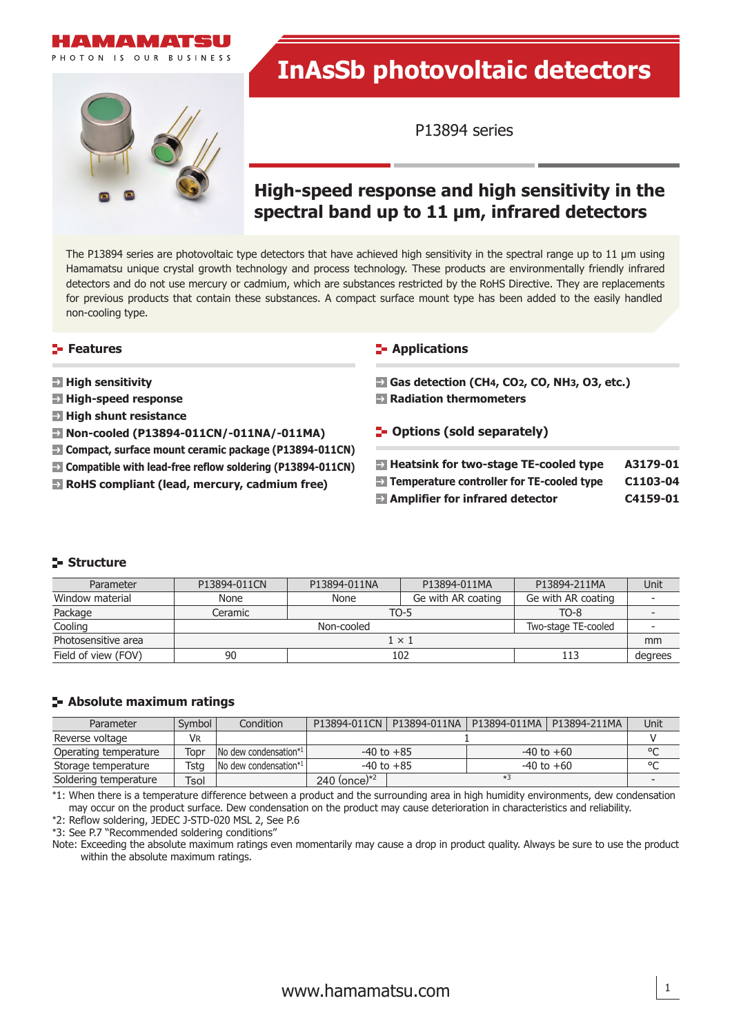

# **InAsSb photovoltaic detectors**

P13894 series

# **High-speed response and high sensitivity in the spectral band up to 11 μm, infrared detectors**

The P13894 series are photovoltaic type detectors that have achieved high sensitivity in the spectral range up to 11 μm using Hamamatsu unique crystal growth technology and process technology. These products are environmentally friendly infrared detectors and do not use mercury or cadmium, which are substances restricted by the RoHS Directive. They are replacements for previous products that contain these substances. A compact surface mount type has been added to the easily handled non-cooling type.

## **Features**

- **High sensitivity**
- **High-speed response**
- **High shunt resistance**
- **Non-cooled (P13894-011CN/-011NA/-011MA)**
- **Compact, surface mount ceramic package (P13894-011CN)**
- **Compatible with lead-free reflow soldering (P13894-011CN)**
- **RoHS compliant (lead, mercury, cadmium free)**

#### **E-** Applications

- **Gas detection (CH4, CO2, CO, NH3, O3, etc.)**
- **Radiation thermometers**
- **F** Options (sold separately)

| $\rightarrow$ Heatsink for two-stage TE-cooled type     | A3179-01 |
|---------------------------------------------------------|----------|
| $\rightarrow$ Temperature controller for TE-cooled type | C1103-04 |
| $\rightarrow$ Amplifier for infrared detector           | C4159-01 |

# **Structure**

| Parameter           | P13894-011CN | P13894-011NA | P13894-011MA        | P13894-211MA       | Unit    |  |
|---------------------|--------------|--------------|---------------------|--------------------|---------|--|
| Window material     | None         | None         | Ge with AR coating  | Ge with AR coating |         |  |
| Package             | Ceramic      | TO-5         |                     | $TO-8$             |         |  |
| Cooling             |              | Non-cooled   | Two-stage TE-cooled |                    |         |  |
| Photosensitive area | $1 \times 1$ |              |                     |                    |         |  |
| Field of view (FOV) | 90           |              | 102                 | 113                | degrees |  |

#### **Absolute maximum ratings**

| Parameter             | Symbol | Condition                                    | P13894-011CN     | P13894-011NA | P13894-011MA   P13894-211MA |  | Unit    |
|-----------------------|--------|----------------------------------------------|------------------|--------------|-----------------------------|--|---------|
| Reverse voltage       | Vr     |                                              |                  |              |                             |  |         |
| Operating temperature | Topr   | $\sqrt{N}$ No dew condensation <sup>*1</sup> | $-40$ to $+85$   |              | $-40$ to $+60$              |  | $\circ$ |
| Storage temperature   | Tsta   | $\sqrt{N}$ dew condensation <sup>*1</sup>    | $-40$ to $+85$   |              | $-40$ to $+60$              |  | $\circ$ |
| Soldering temperature | Tsol   |                                              | 240 (once) $*^2$ |              | $*3$                        |  |         |

\*1: When there is a temperature difference between a product and the surrounding area in high humidity environments, dew condensation may occur on the product surface. Dew condensation on the product may cause deterioration in characteristics and reliability.

\*2: Reflow soldering, JEDEC J-STD-020 MSL 2, See P.6

\*3: See P.7 "Recommended soldering conditions"

Note: Exceeding the absolute maximum ratings even momentarily may cause a drop in product quality. Always be sure to use the product within the absolute maximum ratings.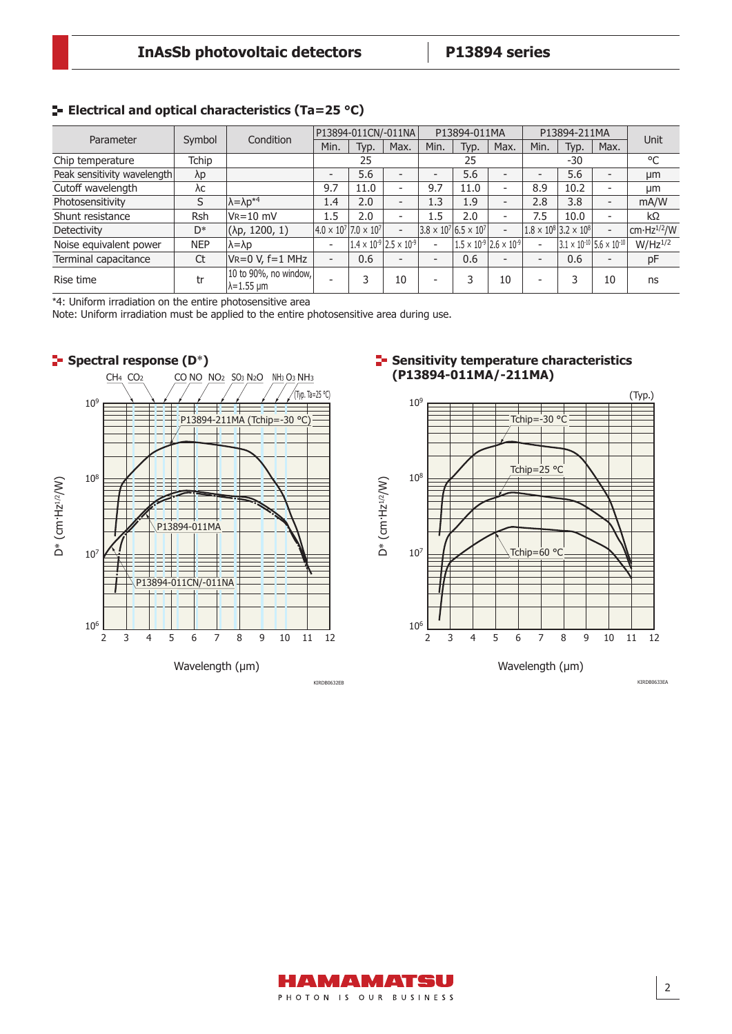# **Electrical and optical characteristics (Ta=25 °C)**

| Parameter                   | Symbol      | Condition                                   | P13894-011CN/-011NA      |                                        |                                           | P13894-011MA                           |                                           | P13894-211MA             |                          | Unit                                        |                          |                         |
|-----------------------------|-------------|---------------------------------------------|--------------------------|----------------------------------------|-------------------------------------------|----------------------------------------|-------------------------------------------|--------------------------|--------------------------|---------------------------------------------|--------------------------|-------------------------|
|                             |             |                                             | Min.                     | Typ.                                   | Max.                                      | Min.                                   | Typ.                                      | Max.                     | Min.                     | Typ.                                        | Max.                     |                         |
| Chip temperature            | Tchip       |                                             |                          | 25                                     |                                           |                                        | 25                                        |                          |                          | -30                                         |                          | °C                      |
| Peak sensitivity wavelength | $\lambda p$ |                                             | $\overline{\phantom{a}}$ | 5.6                                    | $\overline{\phantom{0}}$                  | -                                      | 5.6                                       |                          |                          | 5.6                                         |                          | μm                      |
| Cutoff wavelength           | λс          |                                             | 9.7                      | 11.0                                   | $\overline{\phantom{0}}$                  | 9.7                                    | 11.0                                      | $\overline{\phantom{a}}$ | 8.9                      | 10.2                                        |                          | μm                      |
| Photosensitivity            | S           | $\lambda = \lambda p^{*4}$                  | 1.4                      | 2.0                                    | $\overline{\phantom{0}}$                  | 1.3                                    | 1.9                                       | $\overline{\phantom{0}}$ | 2.8                      | 3.8                                         | $\overline{\phantom{0}}$ | mA/W                    |
| Shunt resistance            | Rsh         | $V_R = 10$ mV                               | 1.5                      | 2.0                                    | $\overline{\phantom{a}}$                  | 1.5                                    | 2.0                                       | $\overline{\phantom{a}}$ | 7.5                      | 10.0                                        | $\overline{\phantom{0}}$ | kΩ                      |
| Detectivity                 | D*          | $(\lambda p, 1200, 1)$                      |                          | $ 4.0 \times 10^7 $ 7.0 $\times 10^7 $ | $\overline{\phantom{a}}$                  | $ 3.8 \times 10^7 $ 6.5 $\times 10^7 $ |                                           | $\overline{\phantom{a}}$ |                          | $1.8 \times 10^8$ 3.2 $\times 10^8$         | $\overline{\phantom{0}}$ | cm·Hz <sup>1/2</sup> /W |
| Noise equivalent power      | <b>NEP</b>  | $\lambda = \lambda p$                       | $\overline{a}$           |                                        | $1.4 \times 10^{-9}$ 2.5 $\times 10^{-9}$ | $\overline{\phantom{a}}$               | $1.5 \times 10^{-9}$ 2.6 $\times 10^{-9}$ |                          | $\overline{\phantom{a}}$ | $3.1 \times 10^{-10}$ 5.6 $\times 10^{-10}$ |                          | $W/Hz^{1/2}$            |
| Terminal capacitance        | Ct          | $V_R = 0 V, f = 1 MHz$                      | $\overline{\phantom{a}}$ | 0.6                                    | $\overline{\phantom{0}}$                  | -                                      | 0.6                                       | $\overline{\phantom{0}}$ | $\overline{\phantom{a}}$ | 0.6                                         |                          | pF                      |
| Rise time                   | tr          | 10 to 90%, no window,<br>$\lambda$ =1.55 µm | $\overline{\phantom{a}}$ | 3                                      | 10                                        | -                                      | 3                                         | 10                       | $\overline{\phantom{0}}$ | 3                                           | 10                       | ns                      |

\*4: Uniform irradiation on the entire photosensitive area

Note: Uniform irradiation must be applied to the entire photosensitive area during use.



#### **F** Sensitivity temperature characteristics **(P13894-011MA/-211MA)**



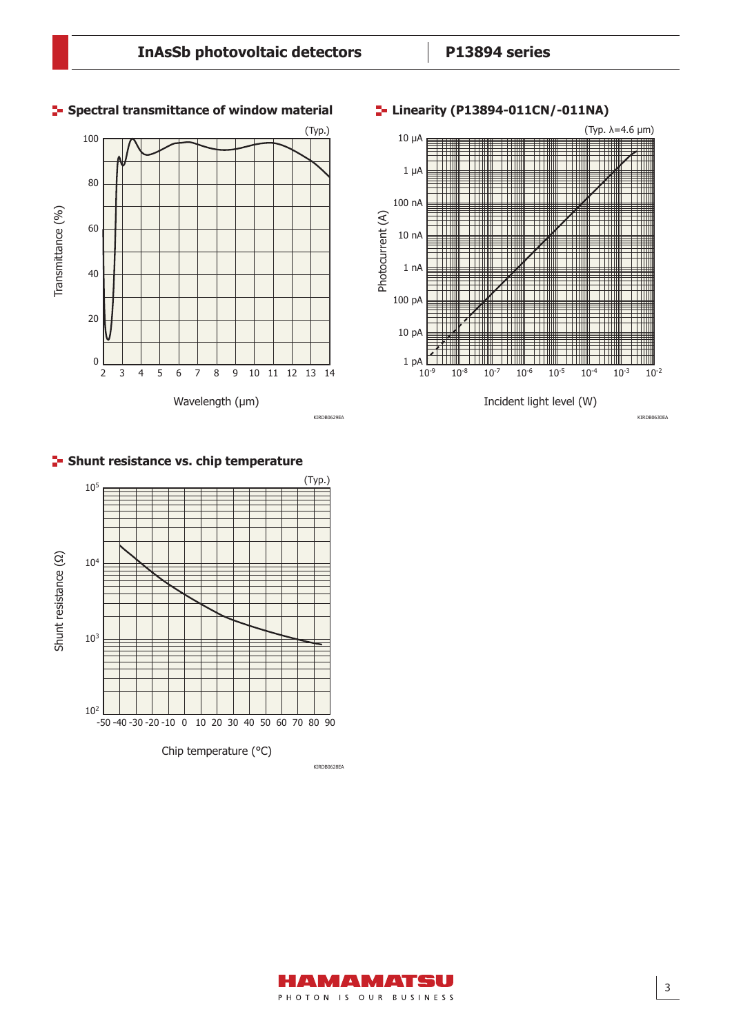

# **F-** Shunt resistance vs. chip temperature



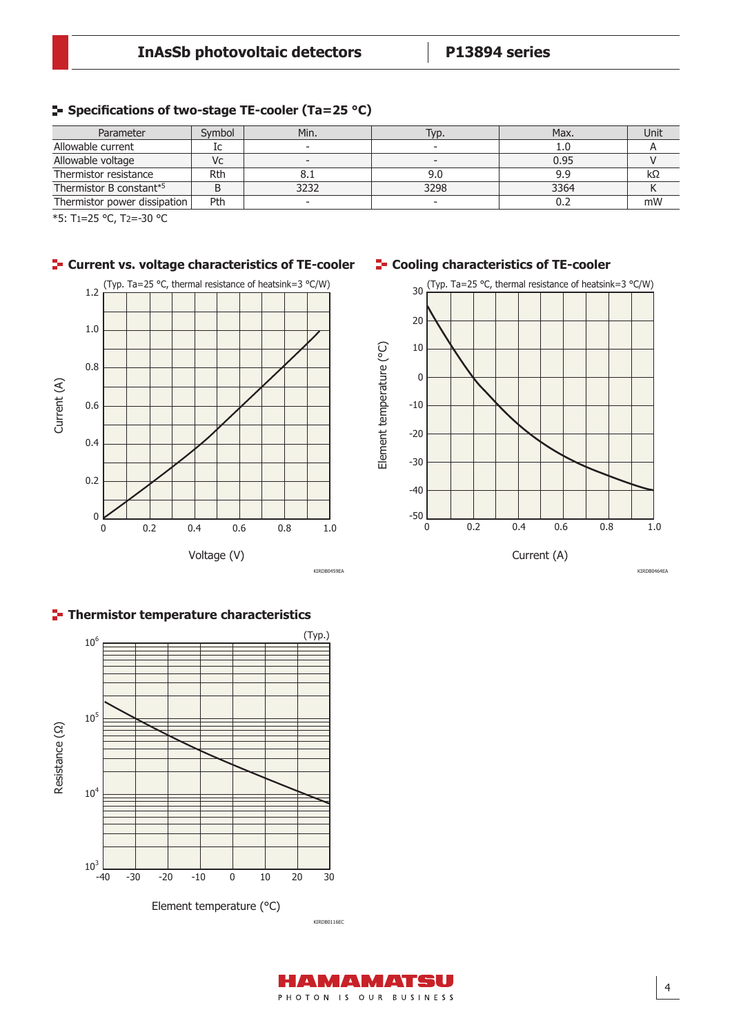# **Specifications of two-stage TE-cooler (Ta=25 °C)**

| Parameter                    | Svmbol | Min. | Typ. | Max. | Unit |
|------------------------------|--------|------|------|------|------|
| Allowable current            | Iс     |      |      | 1.U  |      |
| Allowable voltage            | Vc     |      |      | 0.95 |      |
| Thermistor resistance        | Rth    | 0. 1 | 9.0  | 9.9  | KS2  |
| Thermistor B constant*5      |        | 3232 | 3298 | 3364 |      |
| Thermistor power dissipation | Pth    |      |      | v.z  | mW   |

\*5: T1=25 °C, T2=-30 °C



# **F** Current vs. voltage characteristics of TE-cooler

# **F** Cooling characteristics of TE-cooler



KIRDB0464EA



**Thermistor temperature characteristics**

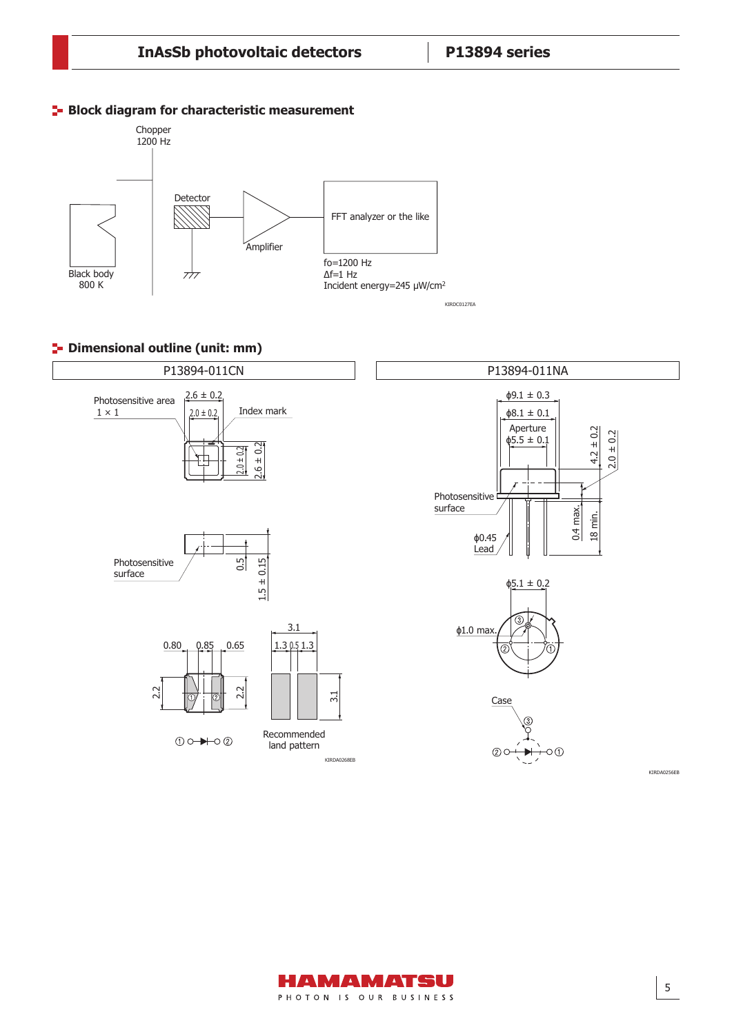#### **Block diagram for characteristic measurement**



## **<sup>1</sup>** Dimensional outline (unit: mm)





5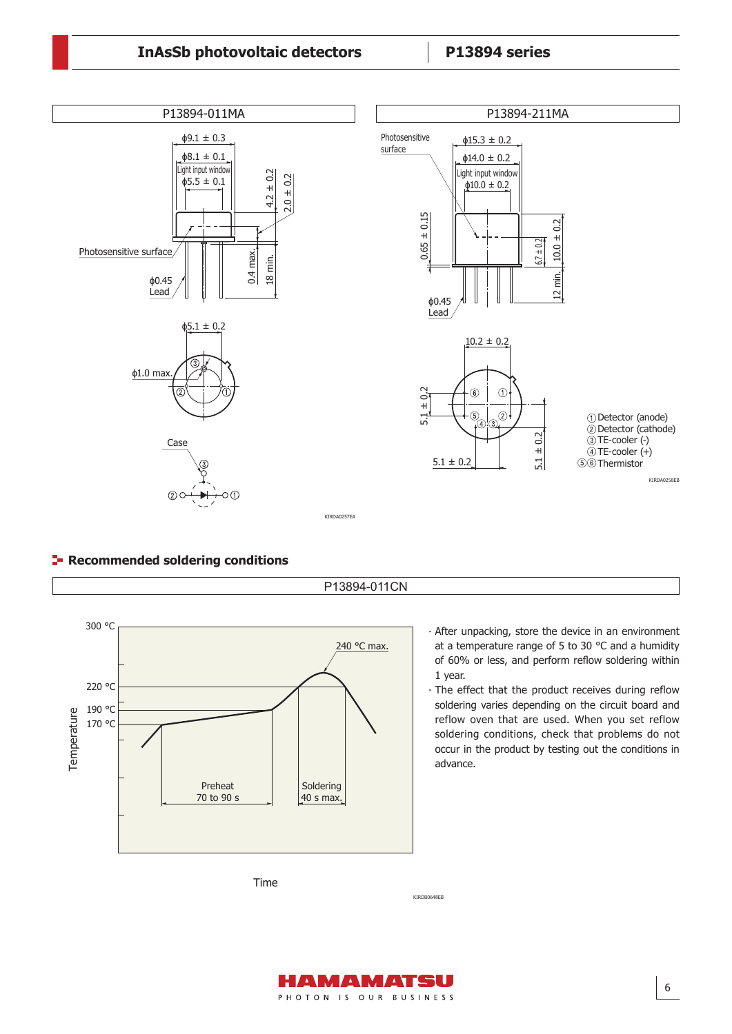# **InAsSb photovoltaic detectors P13894 series**

Dimensional outline (unit: mm)



P13894-011CN

## **F** Recommended soldering conditions



- ∙ After unpacking, store the device in an environment at a temperature range of 5 to 30 °C and a humidity of 60% or less, and perform reflow soldering within 1 year.
- ∙ The effect that the product receives during reflow soldering varies depending on the circuit board and reflow oven that are used. When you set reflow soldering conditions, check that problems do not occur in the product by testing out the conditions in advance.

Time

KIRDB0648EB